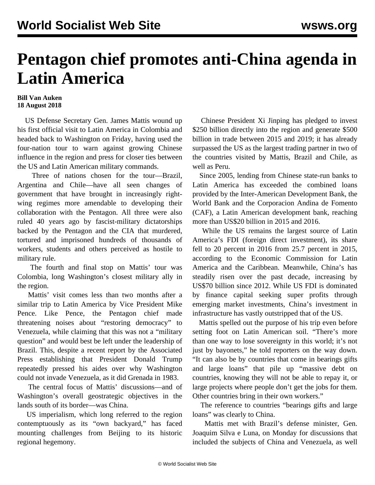## **Pentagon chief promotes anti-China agenda in Latin America**

## **Bill Van Auken 18 August 2018**

 US Defense Secretary Gen. James Mattis wound up his first official visit to Latin America in Colombia and headed back to Washington on Friday, having used the four-nation tour to warn against growing Chinese influence in the region and press for closer ties between the US and Latin American military commands.

 Three of nations chosen for the tour—Brazil, Argentina and Chile—have all seen changes of government that have brought in increasingly rightwing regimes more amendable to developing their collaboration with the Pentagon. All three were also ruled 40 years ago by fascist-military dictatorships backed by the Pentagon and the CIA that murdered, tortured and imprisoned hundreds of thousands of workers, students and others perceived as hostile to military rule.

 The fourth and final stop on Mattis' tour was Colombia, long Washington's closest military ally in the region.

 Mattis' visit comes less than two months after a similar trip to Latin America by Vice President Mike Pence. Like Pence, the Pentagon chief made threatening noises about "restoring democracy" to Venezuela, while claiming that this was not a "military question" and would best be left under the leadership of Brazil. This, despite a recent report by the Associated Press establishing that President Donald Trump repeatedly pressed his aides over why Washington could not invade Venezuela, as it did Grenada in 1983.

 The central focus of Mattis' discussions—and of Washington's overall geostrategic objectives in the lands south of its border—was China.

 US imperialism, which long referred to the region contemptuously as its "own backyard," has faced mounting challenges from Beijing to its historic regional hegemony.

 Chinese President Xi Jinping has pledged to invest \$250 billion directly into the region and generate \$500 billion in trade between 2015 and 2019; it has already surpassed the US as the largest trading partner in two of the countries visited by Mattis, Brazil and Chile, as well as Peru.

 Since 2005, lending from Chinese state-run banks to Latin America has exceeded the combined loans provided by the Inter-American Development Bank, the World Bank and the Corporacion Andina de Fomento (CAF), a Latin American development bank, reaching more than US\$20 billion in 2015 and 2016.

 While the US remains the largest source of Latin America's FDI (foreign direct investment), its share fell to 20 percent in 2016 from 25.7 percent in 2015, according to the Economic Commission for Latin America and the Caribbean. Meanwhile, China's has steadily risen over the past decade, increasing by US\$70 billion since 2012. While US FDI is dominated by finance capital seeking super profits through emerging market investments, China's investment in infrastructure has vastly outstripped that of the US.

 Mattis spelled out the purpose of his trip even before setting foot on Latin American soil. "There's more than one way to lose sovereignty in this world; it's not just by bayonets," he told reporters on the way down. "It can also be by countries that come in bearings gifts and large loans" that pile up "massive debt on countries, knowing they will not be able to repay it, or large projects where people don't get the jobs for them. Other countries bring in their own workers."

 The reference to countries "bearings gifts and large loans" was clearly to China.

 Mattis met with Brazil's defense minister, Gen. Joaquim Silva e Luna, on Monday for discussions that included the subjects of China and Venezuela, as well